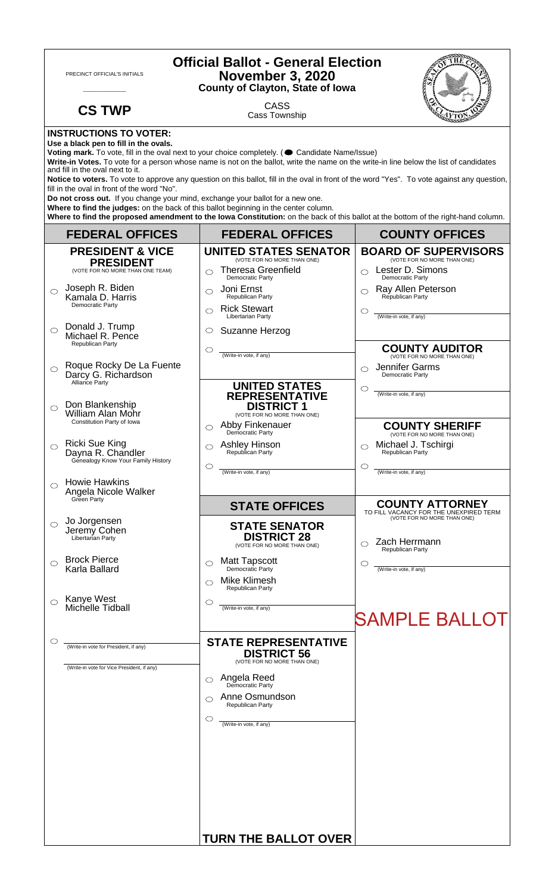| <b>Official Ballot - General Election</b><br>PRECINCT OFFICIAL'S INITIALS<br><b>November 3, 2020</b><br><b>County of Clayton, State of Iowa</b>                                                                                                                                                                                                                                                                                                                                                                                                       |                                                                                     |                                                                                                                                 |                                                                                                            |  |
|-------------------------------------------------------------------------------------------------------------------------------------------------------------------------------------------------------------------------------------------------------------------------------------------------------------------------------------------------------------------------------------------------------------------------------------------------------------------------------------------------------------------------------------------------------|-------------------------------------------------------------------------------------|---------------------------------------------------------------------------------------------------------------------------------|------------------------------------------------------------------------------------------------------------|--|
|                                                                                                                                                                                                                                                                                                                                                                                                                                                                                                                                                       | <b>CS TWP</b>                                                                       | <b>CASS</b><br>Cass Township                                                                                                    |                                                                                                            |  |
| <b>INSTRUCTIONS TO VOTER:</b><br>Use a black pen to fill in the ovals.<br>Voting mark. To vote, fill in the oval next to your choice completely. ( Candidate Name/Issue)<br>Write-in Votes. To vote for a person whose name is not on the ballot, write the name on the write-in line below the list of candidates<br>and fill in the oval next to it.<br>Notice to voters. To vote to approve any question on this ballot, fill in the oval in front of the word "Yes". To vote against any question,<br>fill in the oval in front of the word "No". |                                                                                     |                                                                                                                                 |                                                                                                            |  |
| Do not cross out. If you change your mind, exchange your ballot for a new one.<br>Where to find the judges: on the back of this ballot beginning in the center column.<br>Where to find the proposed amendment to the lowa Constitution: on the back of this ballot at the bottom of the right-hand column.                                                                                                                                                                                                                                           |                                                                                     |                                                                                                                                 |                                                                                                            |  |
|                                                                                                                                                                                                                                                                                                                                                                                                                                                                                                                                                       | <b>FEDERAL OFFICES</b>                                                              | <b>FEDERAL OFFICES</b>                                                                                                          | <b>COUNTY OFFICES</b>                                                                                      |  |
|                                                                                                                                                                                                                                                                                                                                                                                                                                                                                                                                                       | <b>PRESIDENT &amp; VICE</b><br><b>PRESIDENT</b><br>(VOTE FOR NO MORE THAN ONE TEAM) | <b>UNITED STATES SENATOR</b><br>(VOTE FOR NO MORE THAN ONE)<br><b>Theresa Greenfield</b><br>◯                                   | <b>BOARD OF SUPERVISORS</b><br>(VOTE FOR NO MORE THAN ONE)<br>Lester D. Simons                             |  |
| $\bigcirc$                                                                                                                                                                                                                                                                                                                                                                                                                                                                                                                                            | Joseph R. Biden<br>Kamala D. Harris<br>Democratic Party                             | Democratic Party<br>Joni Ernst<br>◯<br>Republican Party<br><b>Rick Stewart</b><br>⌒                                             | Democratic Party<br>Ray Allen Peterson<br>Republican Party<br>O                                            |  |
| $\bigcirc$                                                                                                                                                                                                                                                                                                                                                                                                                                                                                                                                            | Donald J. Trump<br>Michael R. Pence<br>Republican Party                             | Libertarian Party<br>Suzanne Herzog<br>O<br>$\circlearrowright$                                                                 | (Write-in vote, if any)<br><b>COUNTY AUDITOR</b>                                                           |  |
| $\circ$                                                                                                                                                                                                                                                                                                                                                                                                                                                                                                                                               | Roque Rocky De La Fuente<br>Darcy G. Richardson<br>Alliance Party                   | (Write-in vote, if any)<br><b>UNITED STATES</b>                                                                                 | (VOTE FOR NO MORE THAN ONE)<br>Jennifer Garms<br>◯<br>Democratic Party<br>O<br>(Write-in vote, if any)     |  |
| $\bigcirc$                                                                                                                                                                                                                                                                                                                                                                                                                                                                                                                                            | Don Blankenship<br>William Alan Mohr<br>Constitution Party of Iowa                  | <b>REPRESENTATIVE</b><br><b>DISTRICT 1</b><br>(VOTE FOR NO MORE THAN ONE)<br>Abby Finkenauer<br>◯                               | <b>COUNTY SHERIFF</b>                                                                                      |  |
|                                                                                                                                                                                                                                                                                                                                                                                                                                                                                                                                                       | <b>Ricki Sue King</b><br>Dayna R. Chandler<br>Genealogy Know Your Family History    | Democratic Party<br><b>Ashley Hinson</b><br>◯<br>Republican Party<br>$\circlearrowright$                                        | (VOTE FOR NO MORE THAN ONE)<br>Michael J. Tschirgi<br>Republican Party<br>O                                |  |
| ◯                                                                                                                                                                                                                                                                                                                                                                                                                                                                                                                                                     | <b>Howie Hawkins</b><br>Angela Nicole Walker<br>Green Party                         | (Write-in vote, if any)                                                                                                         | (Write-in vote, if any)<br><b>COUNTY ATTORNEY</b>                                                          |  |
| $\circ$                                                                                                                                                                                                                                                                                                                                                                                                                                                                                                                                               | Jo Jorgensen<br>Jeremy Cohen<br>Libertarian Party                                   | <b>STATE OFFICES</b><br><b>STATE SENATOR</b><br><b>DISTRICT 28</b><br>(VOTE FOR NO MORE THAN ONE)                               | TO FILL VACANCY FOR THE UNEXPIRED TERM<br>(VOTE FOR NO MORE THAN ONE)<br>Zach Herrmann<br>Republican Party |  |
| ⌒                                                                                                                                                                                                                                                                                                                                                                                                                                                                                                                                                     | <b>Brock Pierce</b><br>Karla Ballard                                                | <b>Matt Tapscott</b><br>◯<br>Democratic Party<br><b>Mike Klimesh</b><br>⌒                                                       | C<br>(Write-in vote, if any)                                                                               |  |
|                                                                                                                                                                                                                                                                                                                                                                                                                                                                                                                                                       | Kanye West<br>Michelle Tidball                                                      | Republican Party<br>$\circlearrowright$<br>(Write-in vote, if any)                                                              | <b>SAMPLE BALLOT</b>                                                                                       |  |
|                                                                                                                                                                                                                                                                                                                                                                                                                                                                                                                                                       | (Write-in vote for President, if any)<br>(Write-in vote for Vice President, if any) | <b>STATE REPRESENTATIVE</b><br><b>DISTRICT 56</b><br>(VOTE FOR NO MORE THAN ONE)<br><b>Angela Reed</b><br>Democratic Party<br>◯ |                                                                                                            |  |
|                                                                                                                                                                                                                                                                                                                                                                                                                                                                                                                                                       |                                                                                     | Anne Osmundson<br>Republican Party<br>$\circlearrowright$<br>(Write-in vote, if any)                                            |                                                                                                            |  |
|                                                                                                                                                                                                                                                                                                                                                                                                                                                                                                                                                       |                                                                                     | <b>TURN THE BALLOT OVER</b>                                                                                                     |                                                                                                            |  |